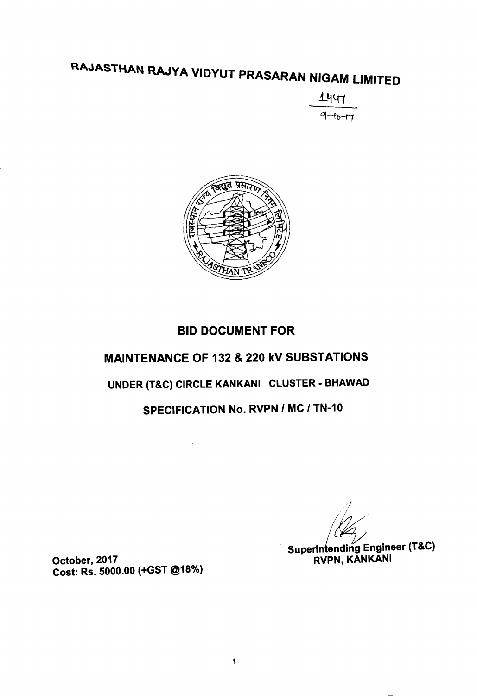#### RAJASTHAN RAJYA V IDYUT PRASARAN NIGAM LIMITED

 $144$  $9 - 10 - 17$ 



## BID DOCUMENT FOR

# MAINTENANCE OF 132 & 220 kV SUBSTATIONS

# UNDER (T&C) CIRCLE KANKANI CLUSTER - BHAWAD

# SPECIFICATION No. RVPN *I* MC *I* TN-10

(.~ Superin ending Engineer (T&C) RVPN, KANKANI

October, 2017 Cost: Rs. 5000.00 (+GST @18%)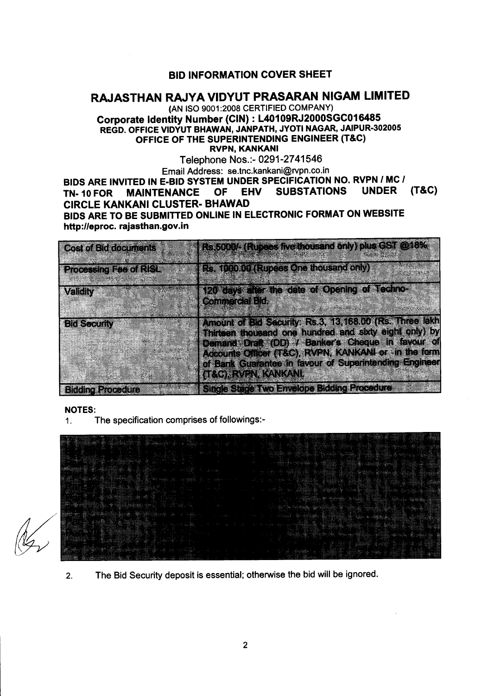### BID INFORMATION COVER SHEET

## RAJASTHAN RAJYA VIDYUT PRASARAN NIGAM LIMITED

(AN ISO 9001:2008 CERTIFIED COMPANY) Corporate Identity Number (CIN) : L40109RJ2000SGC016485 REGD. OFFICE VIDYUT BHAWAN, JANPATH, JYOTI NAGAR, JAIPUR-302005 OFFICE OF THE SUPERINTENDING ENGINEER (T&C) RVPN, KANKANI

Telephone Nos.:- 0291-2741546

Email Address: se.tnc.kankani@rvpn.co.in BIDS ARE INVITED IN E-BID SYSTEM UNDER SPECIFICATION NO. RVPN *I* MC *I* TN-10 FOR MAINTENANCE OF EHV SUBSTATIONS UNDER (T&C) CIRCLE KANKANI CLUSTER- BHAWAD BIDS ARE TO BE SUBMITTED ONLINE IN ELECTRONIC FORMAT ON WEBSITE http://eproc. rajasthan.gov.in

| <b>Cost of Bid documents</b>  | Rs.5000/- (Rupees five thousand only) plus GST @18%                                                                                                                                                                            |
|-------------------------------|--------------------------------------------------------------------------------------------------------------------------------------------------------------------------------------------------------------------------------|
| <b>Processing Eae of RISL</b> | <b>I.Rs. (000.00 (Rupees One thousand only)</b>                                                                                                                                                                                |
| Validity                      | 120 days after the date of Opening of Techno-<br><b>Commercial Bids</b>                                                                                                                                                        |
| <b>Bid Security</b>           | Amount of Bid Security, Rs.3, 13, 168.00 (Rs. Three lakh<br>Thirteen thousand one hundred and sixty eight only) by<br>Demand Draft (DD) / Banker's Cheque in favour of<br>Accounts Officer (T&C), RVPN, KANKANI or in the form |
|                               | of Bank Guarantee in favour of Superintending Engineer<br><b>(T&amp;G), RVEN, KANKANI</b>                                                                                                                                      |
| <b>Bidding Procedure</b>      | <b>Single Stage Two Envelope Bidding Procedure</b>                                                                                                                                                                             |

NOTES:

1. The specification comprises of followings:-

2. The Bid Security deposit is essential; otherwise the bid will be ignored.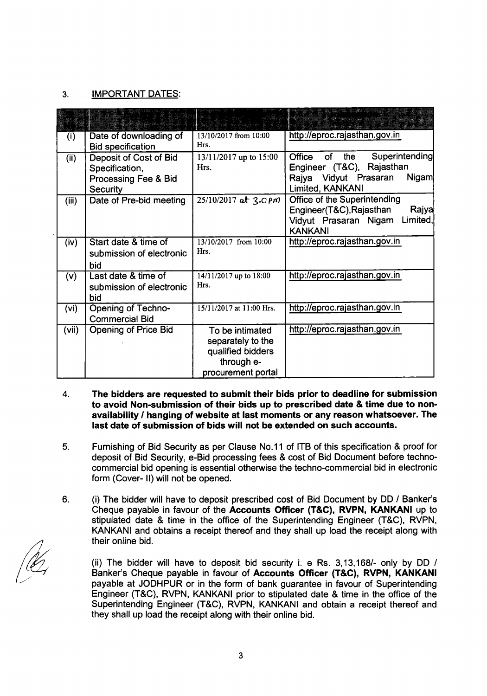### 3. IMPORTANT DATES:

| (i)   | Date of downloading of<br><b>Bid specification</b>                                  | 13/10/2017 from 10:00<br>Hrs.                                                                 | http://eproc.rajasthan.gov.in                                                                                            |
|-------|-------------------------------------------------------------------------------------|-----------------------------------------------------------------------------------------------|--------------------------------------------------------------------------------------------------------------------------|
| (ii)  | Deposit of Cost of Bid<br>Specification,<br>Processing Fee & Bid<br><b>Security</b> | 13/11/2017 up to 15:00<br>Hrs.                                                                | Superintending<br>Office<br>of<br>the<br>Engineer (T&C), Rajasthan<br>Rajya Vidyut Prasaran<br>Nigam<br>Limited, KANKANI |
| (iii) | Date of Pre-bid meeting                                                             | $25/10/2017$ at $3.0$ Pm                                                                      | Office of the Superintending<br>Engineer(T&C), Rajasthan<br>Rajya<br>Limited,<br>Vidyut Prasaran Nigam<br><b>KANKANI</b> |
| (iv)  | Start date & time of<br>submission of electronic<br>bid                             | 13/10/2017 from 10:00<br>Hrs.                                                                 | http://eproc.rajasthan.gov.in                                                                                            |
| (v)   | Last date & time of<br>submission of electronic<br>bid                              | 14/11/2017 up to 18:00<br>Hrs.                                                                | http://eproc.rajasthan.gov.in                                                                                            |
| (vi)  | <b>Opening of Techno-</b><br><b>Commercial Bid</b>                                  | 15/11/2017 at 11:00 Hrs.                                                                      | http://eproc.rajasthan.gov.in                                                                                            |
| (vii) | <b>Opening of Price Bid</b>                                                         | To be intimated<br>separately to the<br>qualified bidders<br>through e-<br>procurement portal | http://eproc.rajasthan.gov.in                                                                                            |

- 4. The bidders are requested to submit their bids prior to deadline for submission to avoid Non-submission of their bids up to prescribed date & time due to nonavailability *I* hanging of website at last moments or any reason whatsoever. The last date of submission of bids will not be extended on such accounts.
- 5. Furnishing of Bid Security as per Clause No.11 of ITB of this specification & proof for deposit of Bid Security, e-Bid processing fees & cost of Bid Document before technocommercial bid opening is essential otherwise the techno-commercial bid in electronic form (Cover- II) will not be opened.
- 6. (i) The bidder will have to deposit prescribed cost of Bid Document by DD *1* Banker's Cheque payable in favour of the Accounts Officer (T&C), RVPN, KANKANI up to stipulated date & time in the office of the Superintending Engineer (T&C), RVPN, KANKANI and obtains a receipt thereof and they shall up load the receipt along with their online bid.

(ii) The bidder will have to deposit bid security i. e Rs. *3,13,1681-* only by DD *I* Banker's Cheque payable in favour of Accounts Officer (T&C), RVPN, KANKANI payable at JODHPUR or in the form of bank guarantee in favour of Superintending Engineer (T&C), RVPN, KANKANI prior to stipulated date & time in the office of the Superintending Engineer (T&C), RVPN, KANKANI and obtain a receipt thereof and they shall up load the receipt along with their online bid.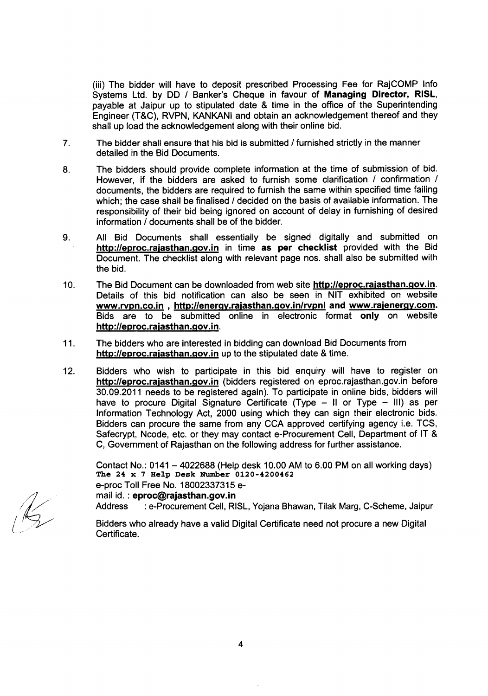(iii) The bidder will have to deposit prescribed Processing Fee for RajCOMP Info Systems Ltd. by DD *I* Banker's Cheque in favour of Managing Director, RISL, payable at Jaipur up to stipulated date & time in the office of the Superintending Engineer (T&C), RVPN, KANKANI and obtain an acknowledgement thereof and they shall up load the acknowledgement along with their online bid.

- 7. The bidder shall ensure that his bid is submitted *I* furnished strictly in the manner detailed in the Bid Documents.
- 8. The bidders should provide complete information at the time of submission of bid. However, if the bidders are asked to furnish some clarification *I* confirmation *I* documents, the bidders are required to furnish the same within specified time failing which; the case shall be finalised *I* decided on the basis of available information. The responsibility of their bid being ignored on account of delay in furnishing of desired information *I* documents shall be of the bidder.
- 9. All Bid Documents shall essentially be signed digitally and submitted on http://eproc.rajasthan.gov.in in time as per checklist provided with the Bid Document. The checklist along with relevant page nos. shall also be submitted with the bid.
- 10. The Bid Document can be downloaded from web site http://eproc.rajasthan.gov.in. Details of this bid notification can also be seen in NIT exhibited on website www.rvpn.co.in , http://energy.rajasthan.gov.in/rvpnl and www.rajenergy.com. Bids are to be submitted online in electronic format only on website http://eproc.rajasthan.gov.in.
- 11. The bidders who are interested in bidding can download Bid Documents from http://eproc.rajasthan.gov.in up to the stipulated date & time.
- 12. Bidders who wish to participate in this bid enquiry will have to register on http://eproc.rajasthan.gov.in (bidders registered on eproc.rajasthan.gov.in before 30.09.2011 needs to be registered again). To participate in online bids, bidders will have to procure Digital Signature Certificate (Type  $-$  II or Type  $-$  III) as per Information Technology Act, 2000 using which they can sign their electronic bids. Bidders can procure the same from any CCA approved certifying agency i.e. TCS, Safecrypt, Ncode, etc. or they may contact e-Procurement Cell, Department of IT & C, Government of Rajasthan on the following address for further assistance.

Contact No.: 0141 - 4022688 (Help desk 10.00AM to 6.00 PM on all working days) The 24 x 7 Help Desk Number 0120-4200462 e-proc Toll Free No. 18002337315 email id. : eproc@rajasthan.gov.in Address : e-Procurement Cell, RISL, Yojana Bhawan, Tilak Marg, C-Scheme, Jaipur Bidders who already have a valid Digital Certificate need not procure a new Digital Certificate.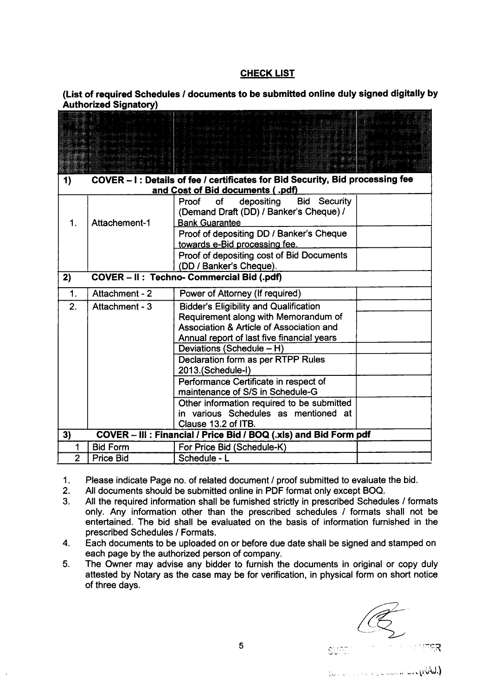#### **CHECK LIST**

(List of required Schedules *I* documents to be submitted online duly signed digitally by Authorized Signatory)

| 1)             |                  | COVER - I: Details of fee / certificates for Bid Security, Bid processing fee |  |
|----------------|------------------|-------------------------------------------------------------------------------|--|
|                |                  | and Cost of Bid documents (.pdf)                                              |  |
|                |                  | depositing<br>Bid<br>Security<br>Proof<br>of                                  |  |
|                |                  | (Demand Draft (DD) / Banker's Cheque) /                                       |  |
| 1.             | Attachement-1    | <b>Bank Guarantee</b>                                                         |  |
|                |                  | Proof of depositing DD / Banker's Cheque                                      |  |
|                |                  | towards e-Bid processing fee.                                                 |  |
|                |                  | Proof of depositing cost of Bid Documents                                     |  |
|                |                  | (DD / Banker's Cheque).                                                       |  |
| 2)             |                  | COVER - II : Techno- Commercial Bid (.pdf)                                    |  |
| 1.             | Attachment - 2   | Power of Attorney (If required)                                               |  |
| 2.             | Attachment - 3   | <b>Bidder's Eligibility and Qualification</b>                                 |  |
|                |                  | Requirement along with Memorandum of                                          |  |
|                |                  | Association & Article of Association and                                      |  |
|                |                  | Annual report of last five financial years                                    |  |
|                |                  | Deviations (Schedule - H)                                                     |  |
|                |                  | Declaration form as per RTPP Rules                                            |  |
|                |                  | 2013.(Schedule-I)                                                             |  |
|                |                  | Performance Certificate in respect of                                         |  |
|                |                  | maintenance of S/S in Schedule-G                                              |  |
|                |                  | Other information required to be submitted                                    |  |
|                |                  | in various Schedules as mentioned at                                          |  |
|                |                  | Clause 13.2 of ITB.                                                           |  |
| 3)             |                  | COVER - III : Financial / Price Bid / BOQ (.xls) and Bid Form pdf             |  |
| 1              | <b>Bid Form</b>  | For Price Bid (Schedule-K)                                                    |  |
| $\overline{2}$ | <b>Price Bid</b> | Schedule - L                                                                  |  |

1. Please indicate Page no. of related document *I* proof submitted to evaluate the bid.

- 2. All documents should be submitted online in PDF format only except BOQ.<br>3. All the required information shall be furnished strictly in prescribed Schedu
- 3. All the required information shall be furnished strictly in prescribed Schedules *I* formats only. Any information other than the prescribed schedules *I* formats shall not be entertained. The bid shall be evaluated on the basis of information furnished in the prescribed Schedules *I* Formats.
- 4. Each documents to be uploaded on or before due date shall be signed and stamped on each page by the authorized person of company.
- 5. The Owner may advise any bidder to furnish the documents in original or copy duly attested by Notary as the case may be for verification, in physical form on short notice of three days.

 $\mathcal{R}_{\text{V}}$  ,  $\mathcal{L}_{\text{V}}$  ,  $\mathcal{L}_{\text{V}}$  ,  $\mathcal{L}_{\text{V}}$  ,  $\mathcal{L}_{\text{V}}$  ,  $\mathcal{L}_{\text{V}}$ 

 $^{\circ}$ ाः $R$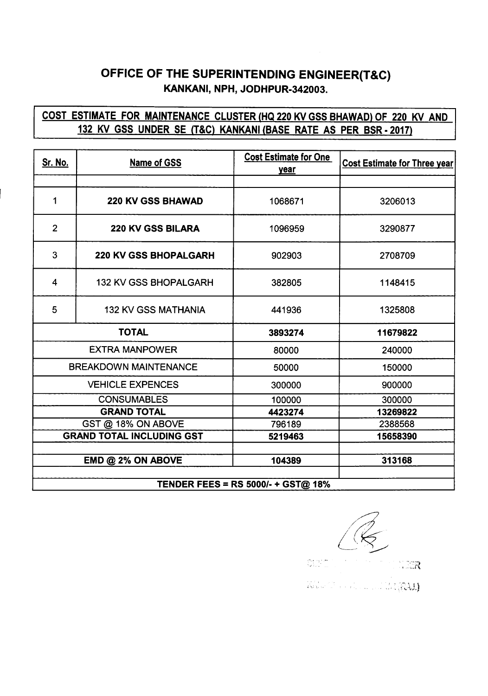## OFFICE OF THE SUPERINTENDING ENGINEER(T&C) KANKANI, NPH, JODHPUR-342003.

### COST ESTIMATE FOR MAINTENANCE CLUSTER (HQ 220 KV GSS BHAWAD) OF 220 KV AND 132 KV GSS UNDER SE (T&C) KANKANI (BASE RATE AS PER BSR - 2017)

| <u>Sr. No.</u>                            | <b>Name of GSS</b>           | <b>Cost Estimate for One</b><br><u>year</u> | <b>Cost Estimate for Three year</b> |  |
|-------------------------------------------|------------------------------|---------------------------------------------|-------------------------------------|--|
|                                           |                              |                                             |                                     |  |
| 1                                         | <b>220 KV GSS BHAWAD</b>     | 1068671                                     | 3206013                             |  |
| $\overline{2}$                            | <b>220 KV GSS BILARA</b>     | 1096959                                     | 3290877                             |  |
| 3                                         | <b>220 KV GSS BHOPALGARH</b> | 902903                                      | 2708709                             |  |
| 4                                         | <b>132 KV GSS BHOPALGARH</b> | 382805                                      | 1148415                             |  |
| 5                                         | <b>132 KV GSS MATHANIA</b>   | 441936                                      | 1325808                             |  |
| <b>TOTAL</b>                              |                              | 3893274                                     | 11679822                            |  |
|                                           | <b>EXTRA MANPOWER</b>        | 80000                                       | 240000                              |  |
| <b>BREAKDOWN MAINTENANCE</b>              |                              | 50000                                       | 150000                              |  |
| <b>VEHICLE EXPENCES</b>                   |                              | 300000                                      | 900000                              |  |
| <b>CONSUMABLES</b>                        |                              | 100000                                      | 300000                              |  |
| <b>GRAND TOTAL</b>                        |                              | 4423274                                     | 13269822                            |  |
| GST @ 18% ON ABOVE                        |                              | 796189                                      | 2388568                             |  |
| <b>GRAND TOTAL INCLUDING GST</b>          |                              | 5219463                                     | 15658390                            |  |
|                                           | EMD @ 2% ON ABOVE            | 104389                                      | 313168                              |  |
| <b>TENDER FEES = RS 5000/- + GST@ 18%</b> |                              |                                             |                                     |  |

/2  $\sqrt{2}$ 

Santon<br>Marino  $\sqrt{2R}$ Will Communications